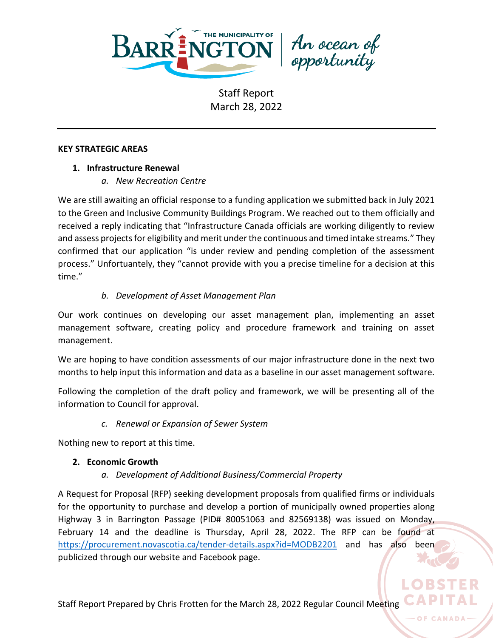

An ocean of<br>opportunity

#### **KEY STRATEGIC AREAS**

# **1. Infrastructure Renewal**

*a. New Recreation Centre*

We are still awaiting an official response to a funding application we submitted back in July 2021 to the Green and Inclusive Community Buildings Program. We reached out to them officially and received a reply indicating that "Infrastructure Canada officials are working diligently to review and assess projects for eligibility and merit under the continuous and timed intake streams." They confirmed that our application "is under review and pending completion of the assessment process." Unfortuantely, they "cannot provide with you a precise timeline for a decision at this time."

# *b. Development of Asset Management Plan*

Our work continues on developing our asset management plan, implementing an asset management software, creating policy and procedure framework and training on asset management.

We are hoping to have condition assessments of our major infrastructure done in the next two months to help input this information and data as a baseline in our asset management software.

Following the completion of the draft policy and framework, we will be presenting all of the information to Council for approval.

*c. Renewal or Expansion of Sewer System*

Nothing new to report at this time.

# **2. Economic Growth**

*a. Development of Additional Business/Commercial Property*

A Request for Proposal (RFP) seeking development proposals from qualified firms or individuals for the opportunity to purchase and develop a portion of municipally owned properties along Highway 3 in Barrington Passage (PID# 80051063 and 82569138) was issued on Monday, February 14 and the deadline is Thursday, April 28, 2022. The RFP can be found at <https://procurement.novascotia.ca/tender-details.aspx?id=MODB2201> and has also been publicized through our website and Facebook page.

OF CANADA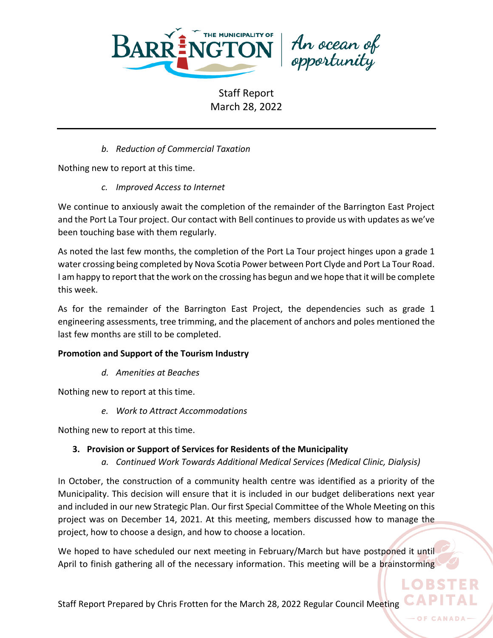

An ocean of<br>opportunity

*b. Reduction of Commercial Taxation*

Nothing new to report at this time.

*c. Improved Access to Internet*

We continue to anxiously await the completion of the remainder of the Barrington East Project and the Port La Tour project. Our contact with Bell continues to provide us with updates as we've been touching base with them regularly.

As noted the last few months, the completion of the Port La Tour project hinges upon a grade 1 water crossing being completed by Nova Scotia Power between Port Clyde and Port La Tour Road. I am happy to report that the work on the crossing has begun and we hope that it will be complete this week.

As for the remainder of the Barrington East Project, the dependencies such as grade 1 engineering assessments, tree trimming, and the placement of anchors and poles mentioned the last few months are still to be completed.

### **Promotion and Support of the Tourism Industry**

*d. Amenities at Beaches*

Nothing new to report at this time.

*e. Work to Attract Accommodations*

Nothing new to report at this time.

# **3. Provision or Support of Services for Residents of the Municipality**

*a. Continued Work Towards Additional Medical Services (Medical Clinic, Dialysis)*

In October, the construction of a community health centre was identified as a priority of the Municipality. This decision will ensure that it is included in our budget deliberations next year and included in our new Strategic Plan. Our first Special Committee of the Whole Meeting on this project was on December 14, 2021. At this meeting, members discussed how to manage the project, how to choose a design, and how to choose a location.

We hoped to have scheduled our next meeting in February/March but have postponed it until April to finish gathering all of the necessary information. This meeting will be a brainstorming

OF CANADA

LO BST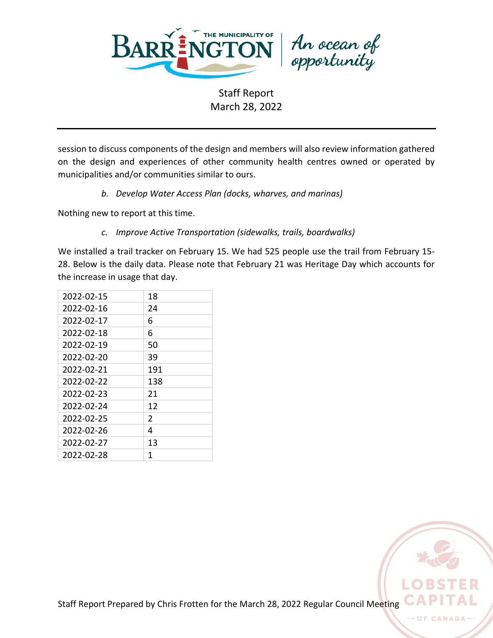

An ocean of<br>opportunity

Staff Report March 28, 2022

session to discuss components of the design and members will also review information gathered on the design and experiences of other community health centres owned or operated by municipalities and/or communities similar to ours.

*b. Develop Water Access Plan (docks, wharves, and marinas)*

Nothing new to report at this time.

*c. Improve Active Transportation (sidewalks, trails, boardwalks)*

We installed a trail tracker on February 15. We had 525 people use the trail from February 15- 28. Below is the daily data. Please note that February 21 was Heritage Day which accounts for the increase in usage that day.

| 2022-02-15 | 18            |
|------------|---------------|
| 2022-02-16 | 24            |
| 2022-02-17 | 6             |
| 2022-02-18 | 6             |
| 2022-02-19 | 50            |
| 2022-02-20 | 39            |
| 2022-02-21 | 191           |
| 2022-02-22 | 138           |
| 2022-02-23 | 21            |
| 2022-02-24 | 12            |
| 2022-02-25 | $\mathcal{P}$ |
| 2022-02-26 | 4             |
| 2022-02-27 | 13            |
| 2022-02-28 | 1             |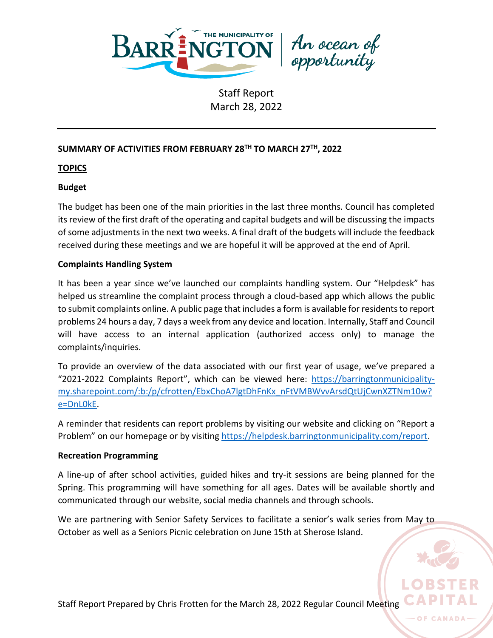

An ocean of<br>opportunity

# **SUMMARY OF ACTIVITIES FROM FEBRUARY 28 TH TO MARCH 27TH, 2022**

### **TOPICS**

### **Budget**

The budget has been one of the main priorities in the last three months. Council has completed its review of the first draft of the operating and capital budgets and will be discussing the impacts of some adjustments in the next two weeks. A final draft of the budgets will include the feedback received during these meetings and we are hopeful it will be approved at the end of April.

# **Complaints Handling System**

It has been a year since we've launched our complaints handling system. Our "Helpdesk" has helped us streamline the complaint process through a cloud-based app which allows the public to submit complaints online. A public page that includes a form is available for residents to report problems 24 hours a day, 7 days a week from any device and location. Internally, Staff and Council will have access to an internal application (authorized access only) to manage the complaints/inquiries.

To provide an overview of the data associated with our first year of usage, we've prepared a "2021-2022 Complaints Report", which can be viewed here: [https://barringtonmunicipality](https://barringtonmunicipality-my.sharepoint.com/:b:/p/cfrotten/EbxChoA7lgtDhFnKx_nFtVMBWvvArsdQtUjCwnXZTNm10w?e=DnL0kE)[my.sharepoint.com/:b:/p/cfrotten/EbxChoA7lgtDhFnKx\\_nFtVMBWvvArsdQtUjCwnXZTNm10w?](https://barringtonmunicipality-my.sharepoint.com/:b:/p/cfrotten/EbxChoA7lgtDhFnKx_nFtVMBWvvArsdQtUjCwnXZTNm10w?e=DnL0kE) [e=DnL0kE.](https://barringtonmunicipality-my.sharepoint.com/:b:/p/cfrotten/EbxChoA7lgtDhFnKx_nFtVMBWvvArsdQtUjCwnXZTNm10w?e=DnL0kE)

A reminder that residents can report problems by visiting our website and clicking on "Report a Problem" on our homepage or by visiting [https://helpdesk.barringtonmunicipality.com/report.](https://helpdesk.barringtonmunicipality.com/report)

### **Recreation Programming**

A line-up of after school activities, guided hikes and try-it sessions are being planned for the Spring. This programming will have something for all ages. Dates will be available shortly and communicated through our website, social media channels and through schools.

We are partnering with Senior Safety Services to facilitate a senior's walk series from May to October as well as a Seniors Picnic celebration on June 15th at Sherose Island.

Staff Report Prepared by Chris Frotten for the March 28, 2022 Regular Council Meeting

OF CANAD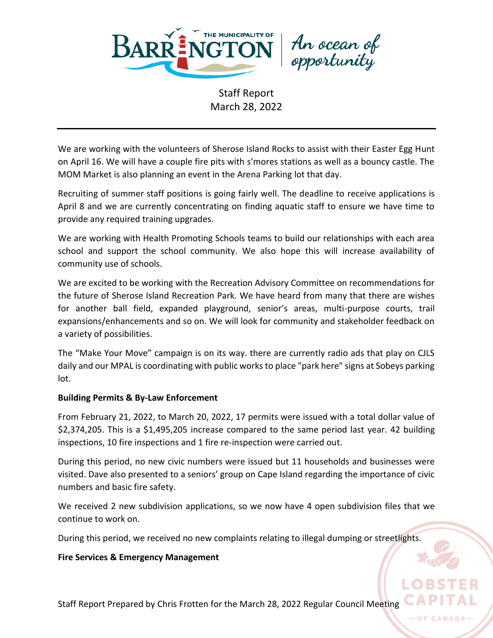

An ocean of<br>opportunity

We are working with the volunteers of Sherose Island Rocks to assist with their Easter Egg Hunt on April 16. We will have a couple fire pits with s'mores stations as well as a bouncy castle. The MOM Market is also planning an event in the Arena Parking lot that day.

Recruiting of summer staff positions is going fairly well. The deadline to receive applications is April 8 and we are currently concentrating on finding aquatic staff to ensure we have time to provide any required training upgrades.

We are working with Health Promoting Schools teams to build our relationships with each area school and support the school community. We also hope this will increase availability of community use of schools.

We are excited to be working with the Recreation Advisory Committee on recommendations for the future of Sherose Island Recreation Park. We have heard from many that there are wishes for another ball field, expanded playground, senior's areas, multi-purpose courts, trail expansions/enhancements and so on. We will look for community and stakeholder feedback on a variety of possibilities.

The "Make Your Move" campaign is on its way. there are currently radio ads that play on CJLS daily and our MPAL is coordinating with public works to place "park here" signs at Sobeys parking lot.

#### **Building Permits & By-Law Enforcement**

From February 21, 2022, to March 20, 2022, 17 permits were issued with a total dollar value of \$2,374,205. This is a \$1,495,205 increase compared to the same period last year. 42 building inspections, 10 fire inspections and 1 fire re-inspection were carried out.

During this period, no new civic numbers were issued but 11 households and businesses were visited. Dave also presented to a seniors' group on Cape Island regarding the importance of civic numbers and basic fire safety.

We received 2 new subdivision applications, so we now have 4 open subdivision files that we continue to work on.

During this period, we received no new complaints relating to illegal dumping or streetlights.

#### **Fire Services & Emergency Management**

Staff Report Prepared by Chris Frotten for the March 28, 2022 Regular Council Meeting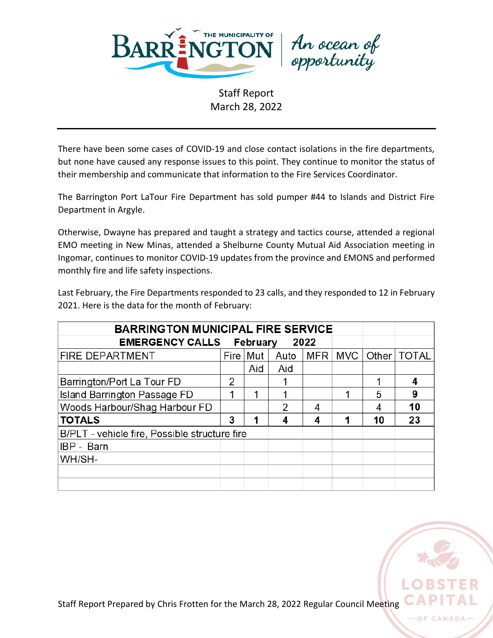

An ocean of<br>opportunity

There have been some cases of COVID-19 and close contact isolations in the fire departments, but none have caused any response issues to this point. They continue to monitor the status of their membership and communicate that information to the Fire Services Coordinator.

The Barrington Port LaTour Fire Department has sold pumper #44 to Islands and District Fire Department in Argyle.

Otherwise, Dwayne has prepared and taught a strategy and tactics course, attended a regional EMO meeting in New Minas, attended a Shelburne County Mutual Aid Association meeting in Ingomar, continues to monitor COVID-19 updates from the province and EMONS and performed monthly fire and life safety inspections.

Last February, the Fire Departments responded to 23 calls, and they responded to 12 in February 2021. Here is the data for the month of February:

| <b>BARRINGTON MUNICIPAL FIRE SERVICE</b>      |   |            |      |            |            |       |              |
|-----------------------------------------------|---|------------|------|------------|------------|-------|--------------|
| <b>EMERGENCY CALLS February</b>               |   |            |      |            |            |       |              |
| <b>FIRE DEPARTMENT</b>                        |   | Fire   Mut | Auto | <b>MFR</b> | <b>MVC</b> | Other | <b>TOTAL</b> |
|                                               |   | Aid        | Aid  |            |            |       |              |
| Barrington/Port La Tour FD                    | 2 |            |      |            |            | 1     | 4            |
| <b>Island Barrington Passage FD</b>           | 1 |            |      |            |            | 5     | 9            |
| Woods Harbour/Shag Harbour FD                 |   |            | 2    | 4          |            |       | 10           |
| <b>TOTALS</b>                                 | 3 |            |      | 4          |            | 10    | 23           |
| B/PLT - vehicle fire, Possible structure fire |   |            |      |            |            |       |              |
| IBP - Barn                                    |   |            |      |            |            |       |              |
| WH/SH-                                        |   |            |      |            |            |       |              |
|                                               |   |            |      |            |            |       |              |
|                                               |   |            |      |            |            |       |              |



O<sub>F</sub>